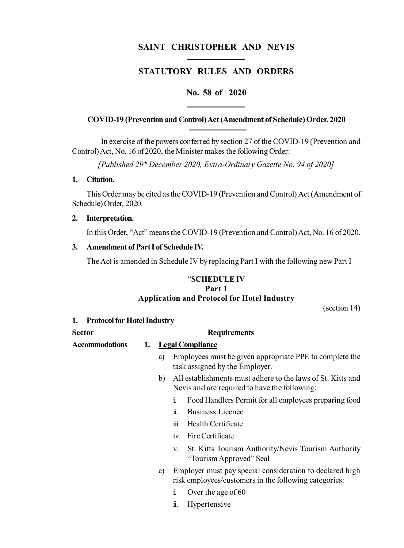# **SAINT CHRISTOPHER AND NEVIS**

# **STATUTORY RULES AND ORDERS**

### **No. 58 of 2020**

#### **COVID-19 (Prevention and Control) Act (Amendment of Schedule) Order, 2020**

In exercise of the powers conferred by section 27 of the COVID-19 (Prevention and Control) Act, No. 16 of 2020, the Minister makes the following Order:

*[Published 29th December 2020, Extra-Ordinary Gazette No. 94 of 2020]*

### **1. Citation.**

This Order may be cited as the COVID-19 (Prevention and Control) Act (Amendment of Schedule) Order, 2020.

#### **2. Interpretation.**

In this Order, "Act" means the COVID-19 (Prevention and Control) Act, No. 16 of 2020.

#### **3. Amendment of Part I of Schedule IV.**

The Act is amended in Schedule IV by replacing Part I with the following new Part I

### "**SCHEDULE IV Part 1 Application and Protocol for Hotel Industry**

(section 14)

| <b>Protocol for Hotel Industry</b> |
|------------------------------------|
|------------------------------------|

| <b>Sector</b>         |    | <b>Requirements</b> |                                                                                                                   |  |
|-----------------------|----|---------------------|-------------------------------------------------------------------------------------------------------------------|--|
| <b>Accommodations</b> | 1. |                     | <b>Legal Compliance</b>                                                                                           |  |
|                       |    | a)                  | Employees must be given appropriate PPE to complete the<br>task assigned by the Employer.                         |  |
|                       |    | b)                  | All establishments must adhere to the laws of St. Kitts and<br>Nevis and are required to have the following:      |  |
|                       |    |                     | Food Handlers Permit for all employees preparing food<br>$\mathbf{1}$                                             |  |
|                       |    |                     | Business Licence<br>11.                                                                                           |  |
|                       |    |                     | Health Certificate<br>111.                                                                                        |  |
|                       |    |                     | Fire Certificate<br>1V.                                                                                           |  |
|                       |    |                     | St. Kitts Tourism Authority/Nevis Tourism Authority<br>V.<br>"Tourism Approved" Seal                              |  |
|                       |    | C)                  | Employer must pay special consideration to declared high<br>risk employees/customers in the following categories: |  |

- i. Over the age of 60
- ii. Hypertensive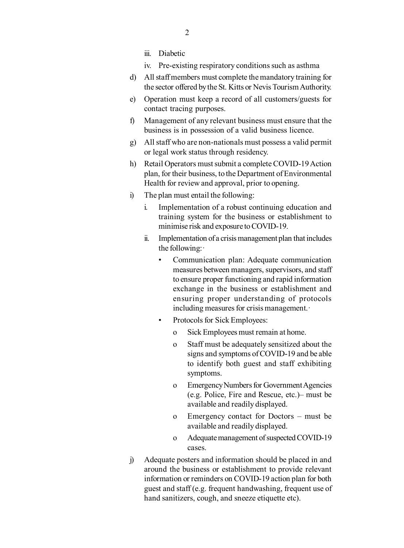- iii. Diabetic
- iv. Pre-existing respiratory conditions such as asthma
- d) All staff members must complete the mandatory training for the sector offered by the St. Kitts or Nevis Tourism Authority.
- e) Operation must keep a record of all customers/guests for contact tracing purposes.
- f) Management of any relevant business must ensure that the business is in possession of a valid business licence.
- g) All staff who are non-nationals must possess a valid permit or legal work status through residency.
- h) Retail Operators must submit a complete COVID-19 Action plan, for their business, to the Department of Environmental Health for review and approval, prior to opening.
- i) The plan must entail the following:
	- i. Implementation of a robust continuing education and training system for the business or establishment to minimise risk and exposure to COVID-19.
	- ii. Implementation of a crisis management plan that includes the following:·
		- Communication plan: Adequate communication measures between managers, supervisors, and staff to ensure proper functioning and rapid information exchange in the business or establishment and ensuring proper understanding of protocols including measures for crisis management.·
		- Protocols for Sick Employees:
			- o Sick Employees must remain at home.
			- o Staff must be adequately sensitized about the signs and symptoms of COVID-19 and be able to identify both guest and staff exhibiting symptoms.
			- o Emergency Numbers for Government Agencies (e.g. Police, Fire and Rescue, etc.)– must be available and readily displayed.
			- o Emergency contact for Doctors must be available and readily displayed.
			- o Adequate management of suspected COVID-19 cases.
- j) Adequate posters and information should be placed in and around the business or establishment to provide relevant information or reminders on COVID-19 action plan for both guest and staff (e.g. frequent handwashing, frequent use of hand sanitizers, cough, and sneeze etiquette etc).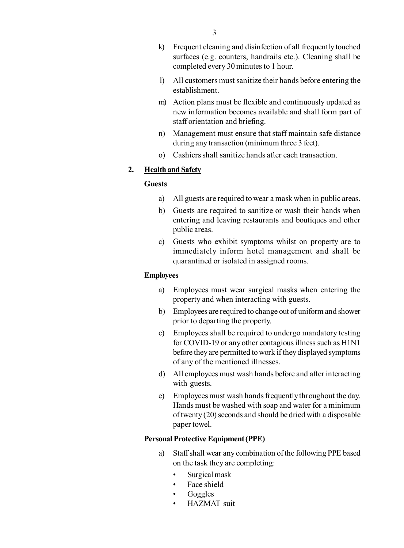- k) Frequent cleaning and disinfection of all frequently touched surfaces (e.g. counters, handrails etc.). Cleaning shall be completed every 30 minutes to 1 hour.
- l) All customers must sanitize their hands before entering the establishment.
- m) Action plans must be flexible and continuously updated as new information becomes available and shall form part of staff orientation and briefing.
- n) Management must ensure that staff maintain safe distance during any transaction (minimum three 3 feet).
- o) Cashiers shall sanitize hands after each transaction.

### **2. Health and Safety**

#### **Guests**

- a) All guests are required to wear a mask when in public areas.
- b) Guests are required to sanitize or wash their hands when entering and leaving restaurants and boutiques and other public areas.
- c) Guests who exhibit symptoms whilst on property are to immediately inform hotel management and shall be quarantined or isolated in assigned rooms.

#### **Employees**

- a) Employees must wear surgical masks when entering the property and when interacting with guests.
- b) Employees are required to change out of uniform and shower prior to departing the property.
- c) Employees shall be required to undergo mandatory testing for COVID-19 or any other contagious illness such as H1N1 before they are permitted to work if they displayed symptoms of any of the mentioned illnesses.
- d) All employees must wash hands before and after interacting with guests.
- e) Employees must wash hands frequently throughout the day. Hands must be washed with soap and water for a minimum of twenty (20) seconds and should be dried with a disposable paper towel.

#### **Personal Protective Equipment (PPE)**

- a) Staff shall wear any combination of the following PPE based on the task they are completing:
	- Surgical mask
	- Face shield
	- Goggles
	- HAZMAT suit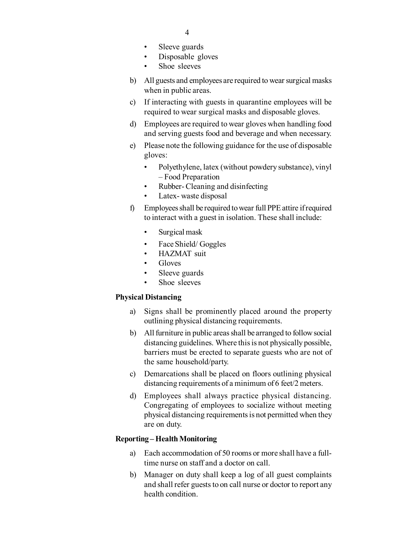- Sleeve guards
- Disposable gloves
- Shoe sleeves
- b) All guests and employees are required to wear surgical masks when in public areas.
- c) If interacting with guests in quarantine employees will be required to wear surgical masks and disposable gloves.
- d) Employees are required to wear gloves when handling food and serving guests food and beverage and when necessary.
- e) Please note the following guidance for the use of disposable gloves:
	- Polyethylene, latex (without powdery substance), vinyl – Food Preparation
	- Rubber- Cleaning and disinfecting
	- Latex-waste disposal
- f) Employees shall be required to wear full PPE attire if required to interact with a guest in isolation. These shall include:
	- Surgical mask
	- Face Shield/ Goggles
	- HAZMAT suit
	- Gloves
	- Sleeve guards
	- Shoe sleeves

#### **Physical Distancing**

- a) Signs shall be prominently placed around the property outlining physical distancing requirements.
- b) All furniture in public areas shall be arranged to follow social distancing guidelines. Where this is not physically possible, barriers must be erected to separate guests who are not of the same household/party.
- c) Demarcations shall be placed on floors outlining physical distancing requirements of a minimum of 6 feet/2 meters.
- d) Employees shall always practice physical distancing. Congregating of employees to socialize without meeting physical distancing requirements is not permitted when they are on duty.

### **Reporting – Health Monitoring**

- a) Each accommodation of 50 rooms or more shall have a fulltime nurse on staff and a doctor on call.
- b) Manager on duty shall keep a log of all guest complaints and shall refer guests to on call nurse or doctor to report any health condition.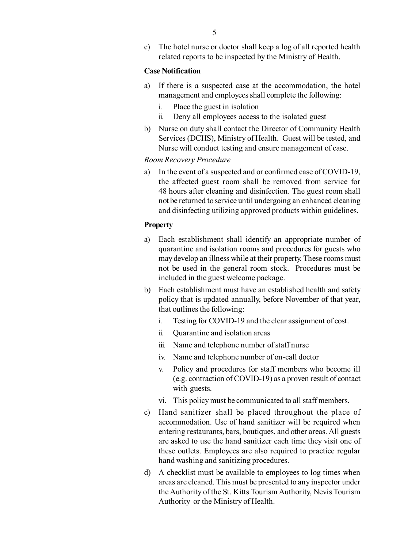c) The hotel nurse or doctor shall keep a log of all reported health related reports to be inspected by the Ministry of Health.

### **Case Notification**

- a) If there is a suspected case at the accommodation, the hotel management and employees shall complete the following:
	- i. Place the guest in isolation
	- ii. Deny all employees access to the isolated guest
- b) Nurse on duty shall contact the Director of Community Health Services (DCHS), Ministry of Health. Guest will be tested, and Nurse will conduct testing and ensure management of case.

#### *Room Recovery Procedure*

a) In the event of a suspected and or confirmed case of COVID-19, the affected guest room shall be removed from service for 48 hours after cleaning and disinfection. The guest room shall not be returned to service until undergoing an enhanced cleaning and disinfecting utilizing approved products within guidelines.

#### **Property**

- a) Each establishment shall identify an appropriate number of quarantine and isolation rooms and procedures for guests who may develop an illness while at their property. These rooms must not be used in the general room stock. Procedures must be included in the guest welcome package.
- b) Each establishment must have an established health and safety policy that is updated annually, before November of that year, that outlines the following:
	- i. Testing for COVID-19 and the clear assignment of cost.
	- ii. Quarantine and isolation areas
	- iii. Name and telephone number of staff nurse
	- iv. Name and telephone number of on-call doctor
	- v. Policy and procedures for staff members who become ill (e.g. contraction of COVID-19) as a proven result of contact with guests.
	- vi. This policy must be communicated to all staff members.
- c) Hand sanitizer shall be placed throughout the place of accommodation. Use of hand sanitizer will be required when entering restaurants, bars, boutiques, and other areas. All guests are asked to use the hand sanitizer each time they visit one of these outlets. Employees are also required to practice regular hand washing and sanitizing procedures.
- d) A checklist must be available to employees to log times when areas are cleaned. This must be presented to any inspector under the Authority of the St. Kitts Tourism Authority, Nevis Tourism Authority or the Ministry of Health.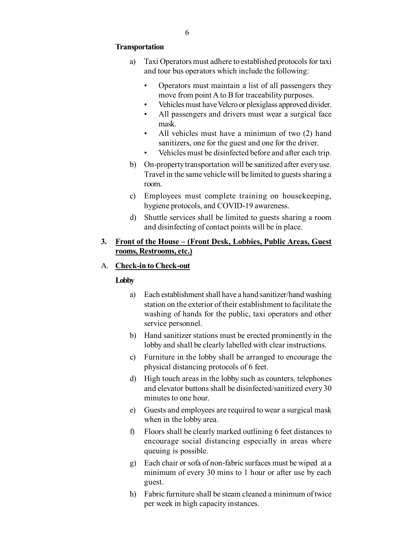#### **Transportation**

- a) Taxi Operators must adhere to established protocols for taxi and tour bus operators which include the following:
	- Operators must maintain a list of all passengers they move from point A to B for traceability purposes.
	- Vehicles must have Velcro or plexiglass approved divider.
	- All passengers and drivers must wear a surgical face mask.
	- All vehicles must have a minimum of two (2) hand sanitizers, one for the guest and one for the driver.
	- Vehicles must be disinfected before and after each trip.
- b) On-property transportation will be sanitized after every use. Travel in the same vehicle will be limited to guests sharing a room.
- c) Employees must complete training on housekeeping, hygiene protocols, and COVID-19 awareness.
- d) Shuttle services shall be limited to guests sharing a room and disinfecting of contact points will be in place.

### **3. Front of the House – (Front Desk, Lobbies, Public Areas, Guest rooms, Restrooms, etc.)**

### A. **Check-in to Check-out**

#### **Lobby**

- a) Each establishment shall have a hand sanitizer/hand washing station on the exterior of their establishment to facilitate the washing of hands for the public, taxi operators and other service personnel.
- b) Hand sanitizer stations must be erected prominently in the lobby and shall be clearly labelled with clear instructions.
- c) Furniture in the lobby shall be arranged to encourage the physical distancing protocols of 6 feet.
- d) High touch areas in the lobby such as counters, telephones and elevator buttons shall be disinfected/sanitized every 30 minutes to one hour.
- e) Guests and employees are required to wear a surgical mask when in the lobby area.
- f) Floors shall be clearly marked outlining 6 feet distances to encourage social distancing especially in areas where queuing is possible.
- g) Each chair or sofa of non-fabric surfaces must be wiped at a minimum of every 30 mins to 1 hour or after use by each guest.
- h) Fabric furniture shall be steam cleaned a minimum of twice per week in high capacity instances.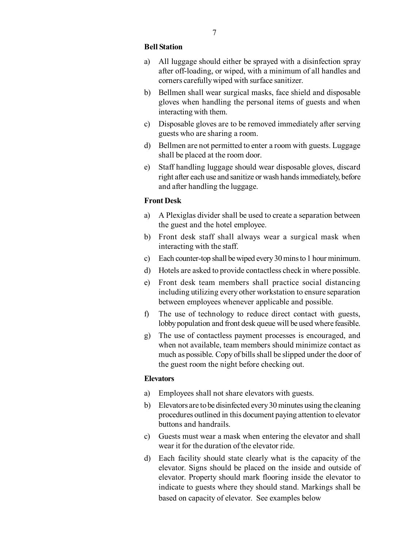#### **Bell Station**

- a) All luggage should either be sprayed with a disinfection spray after off-loading, or wiped, with a minimum of all handles and corners carefully wiped with surface sanitizer.
- b) Bellmen shall wear surgical masks, face shield and disposable gloves when handling the personal items of guests and when interacting with them.
- c) Disposable gloves are to be removed immediately after serving guests who are sharing a room.
- d) Bellmen are not permitted to enter a room with guests. Luggage shall be placed at the room door.
- e) Staff handling luggage should wear disposable gloves, discard right after each use and sanitize or wash hands immediately, before and after handling the luggage.

#### **Front Desk**

- a) A Plexiglas divider shall be used to create a separation between the guest and the hotel employee.
- b) Front desk staff shall always wear a surgical mask when interacting with the staff.
- c) Each counter-top shall be wiped every 30 mins to 1 hour minimum.
- d) Hotels are asked to provide contactless check in where possible.
- e) Front desk team members shall practice social distancing including utilizing every other workstation to ensure separation between employees whenever applicable and possible.
- f) The use of technology to reduce direct contact with guests, lobby population and front desk queue will be used where feasible.
- g) The use of contactless payment processes is encouraged, and when not available, team members should minimize contact as much as possible. Copy of bills shall be slipped under the door of the guest room the night before checking out.

#### **Elevators**

- a) Employees shall not share elevators with guests.
- b) Elevators are to be disinfected every 30 minutes using the cleaning procedures outlined in this document paying attention to elevator buttons and handrails.
- c) Guests must wear a mask when entering the elevator and shall wear it for the duration of the elevator ride.
- d) Each facility should state clearly what is the capacity of the elevator. Signs should be placed on the inside and outside of elevator. Property should mark flooring inside the elevator to indicate to guests where they should stand. Markings shall be based on capacity of elevator. See examples below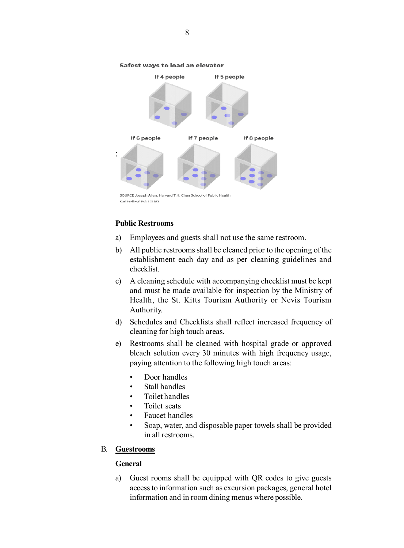

#### Safest ways to load an elevator

**Public Restrooms**

- a) Employees and guests shall not use the same restroom.
- b) All public restrooms shall be cleaned prior to the opening of the establishment each day and as per cleaning guidelines and checklist.
- c) A cleaning schedule with accompanying checklist must be kept and must be made available for inspection by the Ministry of Health, the St. Kitts Tourism Authority or Nevis Tourism Authority.
- d) Schedules and Checklists shall reflect increased frequency of cleaning for high touch areas.
- e) Restrooms shall be cleaned with hospital grade or approved bleach solution every 30 minutes with high frequency usage, paying attention to the following high touch areas:
	- Door handles
	- Stall handles
	- Toilet handles
	- Toilet seats
	- Faucet handles
	- Soap, water, and disposable paper towels shall be provided in all restrooms.

#### B. **Guestrooms**

#### **General**

a) Guest rooms shall be equipped with QR codes to give guests access to information such as excursion packages, general hotel information and in room dining menus where possible.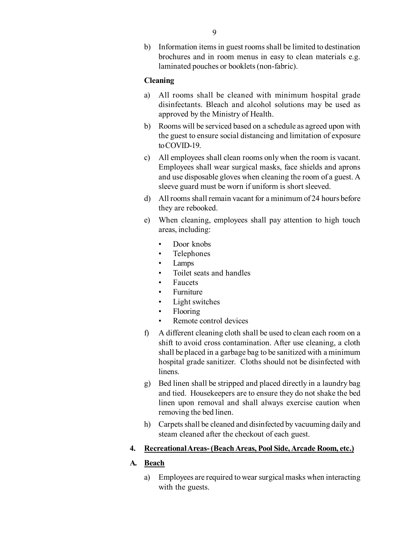b) Information items in guest rooms shall be limited to destination brochures and in room menus in easy to clean materials e.g. laminated pouches or booklets (non-fabric).

### **Cleaning**

- a) All rooms shall be cleaned with minimum hospital grade disinfectants. Bleach and alcohol solutions may be used as approved by the Ministry of Health.
- b) Rooms will be serviced based on a schedule as agreed upon with the guest to ensure social distancing and limitation of exposure to COVID-19.
- c) All employees shall clean rooms only when the room is vacant. Employees shall wear surgical masks, face shields and aprons and use disposable gloves when cleaning the room of a guest. A sleeve guard must be worn if uniform is short sleeved.
- d) All rooms shall remain vacant for a minimum of 24 hours before they are rebooked.
- e) When cleaning, employees shall pay attention to high touch areas, including:
	- Door knobs
	- Telephones
	- Lamps
	- Toilet seats and handles
	- **Faucets**
	- **Furniture**
	- Light switches
	- Flooring
	- Remote control devices
- f) A different cleaning cloth shall be used to clean each room on a shift to avoid cross contamination. After use cleaning, a cloth shall be placed in a garbage bag to be sanitized with a minimum hospital grade sanitizer. Cloths should not be disinfected with linens.
- g) Bed linen shall be stripped and placed directly in a laundry bag and tied. Housekeepers are to ensure they do not shake the bed linen upon removal and shall always exercise caution when removing the bed linen.
- h) Carpets shall be cleaned and disinfected by vacuuming daily and steam cleaned after the checkout of each guest.

### **4. Recreational Areas- (Beach Areas, Pool Side, Arcade Room, etc.)**

### **A. Beach**

a) Employees are required to wear surgical masks when interacting with the guests.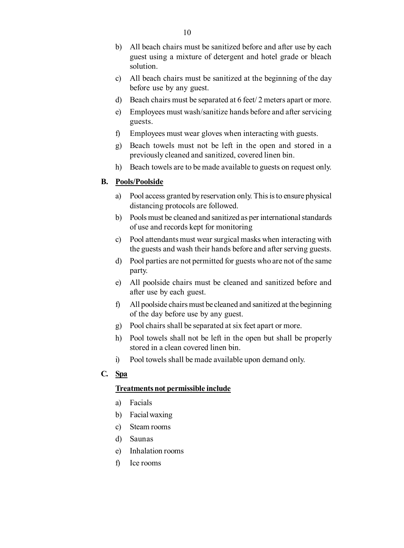- b) All beach chairs must be sanitized before and after use by each guest using a mixture of detergent and hotel grade or bleach solution.
- c) All beach chairs must be sanitized at the beginning of the day before use by any guest.
- d) Beach chairs must be separated at 6 feet/ 2 meters apart or more.
- e) Employees must wash/sanitize hands before and after servicing guests.
- f) Employees must wear gloves when interacting with guests.
- g) Beach towels must not be left in the open and stored in a previously cleaned and sanitized, covered linen bin.
- h) Beach towels are to be made available to guests on request only.

### **B. Pools/Poolside**

- a) Pool access granted by reservation only. This is to ensure physical distancing protocols are followed.
- b) Pools must be cleaned and sanitized as per international standards of use and records kept for monitoring
- c) Pool attendants must wear surgical masks when interacting with the guests and wash their hands before and after serving guests.
- d) Pool parties are not permitted for guests who are not of the same party.
- e) All poolside chairs must be cleaned and sanitized before and after use by each guest.
- f) All poolside chairs must be cleaned and sanitized at the beginning of the day before use by any guest.
- g) Pool chairs shall be separated at six feet apart or more.
- h) Pool towels shall not be left in the open but shall be properly stored in a clean covered linen bin.
- i) Pool towels shall be made available upon demand only.
- **C. Spa**

#### **Treatments not permissible include**

- a) Facials
- b) Facial waxing
- c) Steam rooms
- d) Saunas
- e) Inhalation rooms
- f) Ice rooms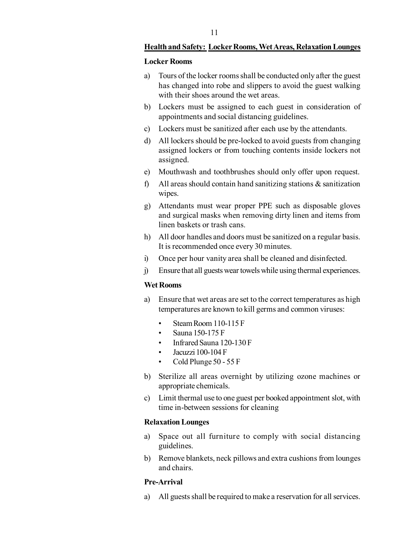#### **Health and Safety: Locker Rooms, Wet Areas, Relaxation Lounges**

#### **Locker Rooms**

- a) Tours of the locker rooms shall be conducted only after the guest has changed into robe and slippers to avoid the guest walking with their shoes around the wet areas.
- b) Lockers must be assigned to each guest in consideration of appointments and social distancing guidelines.
- c) Lockers must be sanitized after each use by the attendants.
- d) All lockers should be pre-locked to avoid guests from changing assigned lockers or from touching contents inside lockers not assigned.
- e) Mouthwash and toothbrushes should only offer upon request.
- f) All areas should contain hand sanitizing stations  $\&$  sanitization wipes.
- g) Attendants must wear proper PPE such as disposable gloves and surgical masks when removing dirty linen and items from linen baskets or trash cans.
- h) All door handles and doors must be sanitized on a regular basis. It is recommended once every 30 minutes.
- i) Once per hour vanity area shall be cleaned and disinfected.
- j) Ensure that all guests wear towels while using thermal experiences.

### **Wet Rooms**

- a) Ensure that wet areas are set to the correct temperatures as high temperatures are known to kill germs and common viruses:
	- Steam Room 110-115 F
	- Sauna 150-175 F
	- Infrared Sauna 120-130 F
	- Jacuzzi 100-104 F
	- Cold Plunge 50 55 F
- b) Sterilize all areas overnight by utilizing ozone machines or appropriate chemicals.
- c) Limit thermal use to one guest per booked appointment slot, with time in-between sessions for cleaning

#### **Relaxation Lounges**

- a) Space out all furniture to comply with social distancing guidelines.
- b) Remove blankets, neck pillows and extra cushions from lounges and chairs.

#### **Pre-Arrival**

a) All guests shall be required to make a reservation for all services.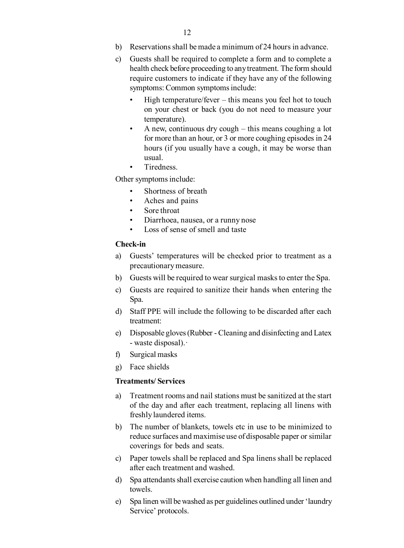- b) Reservations shall be made a minimum of 24 hours in advance.
- c) Guests shall be required to complete a form and to complete a health check before proceeding to any treatment. The form should require customers to indicate if they have any of the following symptoms: Common symptoms include:
	- High temperature/fever this means you feel hot to touch on your chest or back (you do not need to measure your temperature).
	- A new, continuous dry cough this means coughing a lot for more than an hour, or 3 or more coughing episodes in 24 hours (if you usually have a cough, it may be worse than usual.
	- Tiredness.

Other symptoms include:

- Shortness of breath
- Aches and pains
- Sore throat
- Diarrhoea, nausea, or a runny nose
- Loss of sense of smell and taste

#### **Check-in**

- a) Guests' temperatures will be checked prior to treatment as a precautionary measure.
- b) Guests will be required to wear surgical masks to enter the Spa.
- c) Guests are required to sanitize their hands when entering the Spa.
- d) Staff PPE will include the following to be discarded after each treatment:
- e) Disposable gloves (Rubber Cleaning and disinfecting and Latex - waste disposal).·
- f) Surgical masks
- g) Face shields

#### **Treatments/ Services**

- a) Treatment rooms and nail stations must be sanitized at the start of the day and after each treatment, replacing all linens with freshly laundered items.
- b) The number of blankets, towels etc in use to be minimized to reduce surfaces and maximise use of disposable paper or similar coverings for beds and seats.
- c) Paper towels shall be replaced and Spa linens shall be replaced after each treatment and washed.
- d) Spa attendants shall exercise caution when handling all linen and towels.
- e) Spa linen will be washed as per guidelines outlined under 'laundry Service' protocols.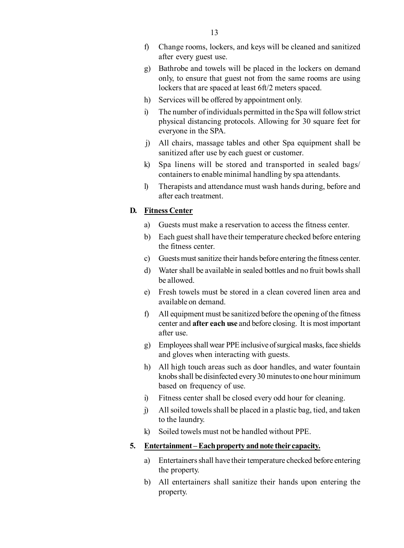- f) Change rooms, lockers, and keys will be cleaned and sanitized after every guest use.
- g) Bathrobe and towels will be placed in the lockers on demand only, to ensure that guest not from the same rooms are using lockers that are spaced at least 6ft/2 meters spaced.
- h) Services will be offered by appointment only.
- i) The number of individuals permitted in the Spa will follow strict physical distancing protocols. Allowing for 30 square feet for everyone in the SPA.
- j) All chairs, massage tables and other Spa equipment shall be sanitized after use by each guest or customer.
- k) Spa linens will be stored and transported in sealed bags/ containers to enable minimal handling by spa attendants.
- l) Therapists and attendance must wash hands during, before and after each treatment.

### **D. Fitness Center**

- a) Guests must make a reservation to access the fitness center.
- b) Each guest shall have their temperature checked before entering the fitness center.
- c) Guests must sanitize their hands before entering the fitness center.
- d) Water shall be available in sealed bottles and no fruit bowls shall be allowed.
- e) Fresh towels must be stored in a clean covered linen area and available on demand.
- f) All equipment must be sanitized before the opening of the fitness center and **after each use** and before closing. It is most important after use.
- g) Employees shall wear PPE inclusive of surgical masks, face shields and gloves when interacting with guests.
- h) All high touch areas such as door handles, and water fountain knobs shall be disinfected every 30 minutes to one hour minimum based on frequency of use.
- i) Fitness center shall be closed every odd hour for cleaning.
- j) All soiled towels shall be placed in a plastic bag, tied, and taken to the laundry.
- k) Soiled towels must not be handled without PPE.

### **5. Entertainment – Each property and note their capacity.**

- a) Entertainers shall have their temperature checked before entering the property.
- b) All entertainers shall sanitize their hands upon entering the property.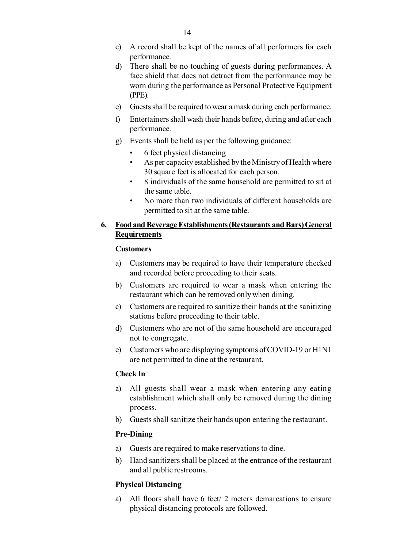- c) A record shall be kept of the names of all performers for each performance.
- d) There shall be no touching of guests during performances. A face shield that does not detract from the performance may be worn during the performance as Personal Protective Equipment (PPE).
- e) Guests shall be required to wear a mask during each performance.
- f) Entertainers shall wash their hands before, during and after each performance.
- g) Events shall be held as per the following guidance:
	- 6 feet physical distancing
	- As per capacity established by the Ministry of Health where 30 square feet is allocated for each person.
	- 8 individuals of the same household are permitted to sit at the same table.
	- No more than two individuals of different households are permitted to sit at the same table.

### **6. Food and Beverage Establishments (Restaurants and Bars) General Requirements**

#### **Customers**

- a) Customers may be required to have their temperature checked and recorded before proceeding to their seats.
- b) Customers are required to wear a mask when entering the restaurant which can be removed only when dining.
- c) Customers are required to sanitize their hands at the sanitizing stations before proceeding to their table.
- d) Customers who are not of the same household are encouraged not to congregate.
- e) Customers who are displaying symptoms of COVID-19 or H1N1 are not permitted to dine at the restaurant.

#### **Check In**

- a) All guests shall wear a mask when entering any eating establishment which shall only be removed during the dining process.
- b) Guests shall sanitize their hands upon entering the restaurant.

### **Pre-Dining**

- a) Guests are required to make reservations to dine.
- b) Hand sanitizers shall be placed at the entrance of the restaurant and all public restrooms.

### **Physical Distancing**

a) All floors shall have 6 feet/ 2 meters demarcations to ensure physical distancing protocols are followed.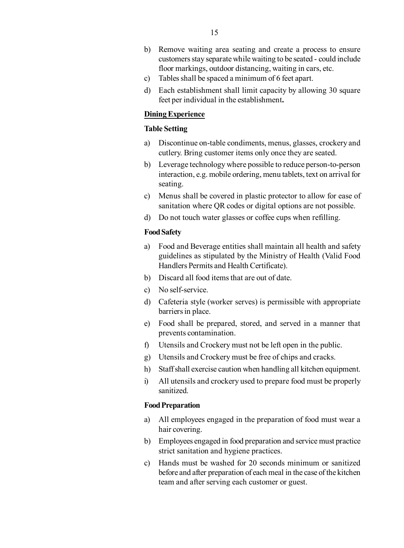- b) Remove waiting area seating and create a process to ensure customers stay separate while waiting to be seated - could include floor markings, outdoor distancing, waiting in cars, etc.
- c) Tables shall be spaced a minimum of 6 feet apart.
- d) Each establishment shall limit capacity by allowing 30 square feet per individual in the establishment**.**

#### **Dining Experience**

### **Table Setting**

- a) Discontinue on-table condiments, menus, glasses, crockery and cutlery. Bring customer items only once they are seated.
- b) Leverage technology where possible to reduce person-to-person interaction, e.g. mobile ordering, menu tablets, text on arrival for seating.
- c) Menus shall be covered in plastic protector to allow for ease of sanitation where QR codes or digital options are not possible.
- d) Do not touch water glasses or coffee cups when refilling.

#### **Food Safety**

- a) Food and Beverage entities shall maintain all health and safety guidelines as stipulated by the Ministry of Health (Valid Food Handlers Permits and Health Certificate).
- b) Discard all food items that are out of date.
- c) No self-service.
- d) Cafeteria style (worker serves) is permissible with appropriate barriers in place.
- e) Food shall be prepared, stored, and served in a manner that prevents contamination.
- f) Utensils and Crockery must not be left open in the public.
- g) Utensils and Crockery must be free of chips and cracks.
- h) Staff shall exercise caution when handling all kitchen equipment.
- i) All utensils and crockery used to prepare food must be properly sanitized.

#### **Food Preparation**

- a) All employees engaged in the preparation of food must wear a hair covering.
- b) Employees engaged in food preparation and service must practice strict sanitation and hygiene practices.
- c) Hands must be washed for 20 seconds minimum or sanitized before and after preparation of each meal in the case of the kitchen team and after serving each customer or guest.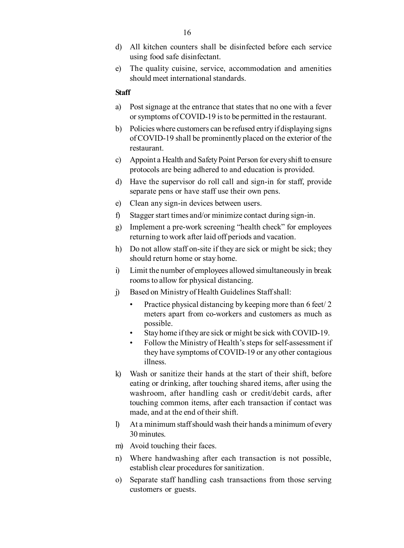- d) All kitchen counters shall be disinfected before each service using food safe disinfectant.
- e) The quality cuisine, service, accommodation and amenities should meet international standards.

#### **Staff**

- a) Post signage at the entrance that states that no one with a fever or symptoms of COVID-19 is to be permitted in the restaurant.
- b) Policies where customers can be refused entry if displaying signs of COVID-19 shall be prominently placed on the exterior of the restaurant.
- c) Appoint a Health and Safety Point Person for every shift to ensure protocols are being adhered to and education is provided.
- d) Have the supervisor do roll call and sign-in for staff, provide separate pens or have staff use their own pens.
- e) Clean any sign-in devices between users.
- f) Stagger start times and/or minimize contact during sign-in.
- g) Implement a pre-work screening "health check" for employees returning to work after laid off periods and vacation.
- h) Do not allow staff on-site if they are sick or might be sick; they should return home or stay home.
- i) Limit the number of employees allowed simultaneously in break rooms to allow for physical distancing.
- j) Based on Ministry of Health Guidelines Staff shall:
	- Practice physical distancing by keeping more than 6 feet/2 meters apart from co-workers and customers as much as possible.
	- Stay home if they are sick or might be sick with COVID-19.
	- Follow the Ministry of Health's steps for self-assessment if they have symptoms of COVID-19 or any other contagious illness.
- k) Wash or sanitize their hands at the start of their shift, before eating or drinking, after touching shared items, after using the washroom, after handling cash or credit/debit cards, after touching common items, after each transaction if contact was made, and at the end of their shift.
- l) At a minimum staff should wash their hands a minimum of every 30 minutes.
- m) Avoid touching their faces.
- n) Where handwashing after each transaction is not possible, establish clear procedures for sanitization.
- o) Separate staff handling cash transactions from those serving customers or guests.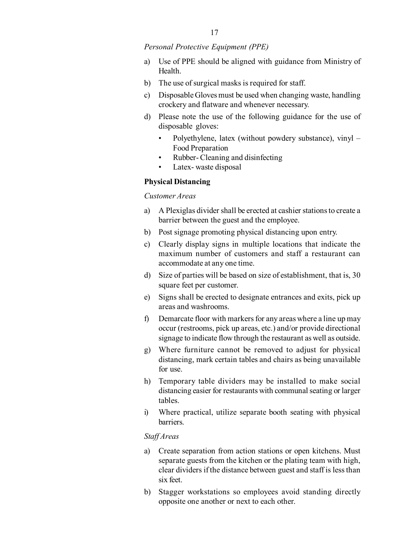*Personal Protective Equipment (PPE)*

- a) Use of PPE should be aligned with guidance from Ministry of Health.
- b) The use of surgical masks is required for staff.
- c) Disposable Gloves must be used when changing waste, handling crockery and flatware and whenever necessary.
- d) Please note the use of the following guidance for the use of disposable gloves:
	- Polyethylene, latex (without powdery substance), vinyl Food Preparation
	- Rubber-Cleaning and disinfecting
	- Latex-waste disposal

### **Physical Distancing**

### *Customer Areas*

- a) A Plexiglas divider shall be erected at cashier stations to create a barrier between the guest and the employee.
- b) Post signage promoting physical distancing upon entry.
- c) Clearly display signs in multiple locations that indicate the maximum number of customers and staff a restaurant can accommodate at any one time.
- d) Size of parties will be based on size of establishment, that is, 30 square feet per customer.
- e) Signs shall be erected to designate entrances and exits, pick up areas and washrooms.
- f) Demarcate floor with markers for any areas where a line up may occur (restrooms, pick up areas, etc.) and/or provide directional signage to indicate flow through the restaurant as well as outside.
- g) Where furniture cannot be removed to adjust for physical distancing, mark certain tables and chairs as being unavailable for use.
- h) Temporary table dividers may be installed to make social distancing easier for restaurants with communal seating or larger tables.
- i) Where practical, utilize separate booth seating with physical barriers.

#### *Staff Areas*

- a) Create separation from action stations or open kitchens. Must separate guests from the kitchen or the plating team with high, clear dividers if the distance between guest and staff is less than six feet.
- b) Stagger workstations so employees avoid standing directly opposite one another or next to each other.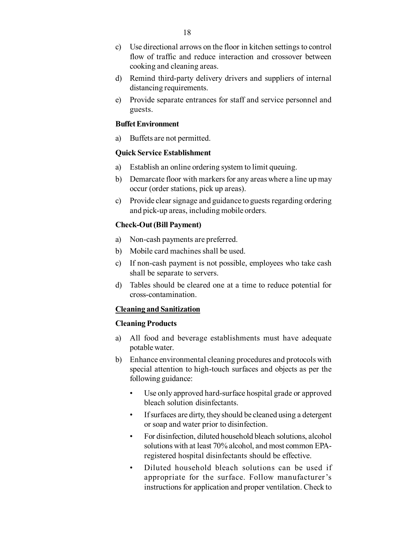- c) Use directional arrows on the floor in kitchen settings to control flow of traffic and reduce interaction and crossover between cooking and cleaning areas.
- d) Remind third-party delivery drivers and suppliers of internal distancing requirements.
- e) Provide separate entrances for staff and service personnel and guests.

#### **Buffet Environment**

a) Buffets are not permitted.

#### **Quick Service Establishment**

- a) Establish an online ordering system to limit queuing.
- b) Demarcate floor with markers for any areas where a line up may occur (order stations, pick up areas).
- c) Provide clear signage and guidance to guests regarding ordering and pick-up areas, including mobile orders.

#### **Check-Out (Bill Payment)**

- a) Non-cash payments are preferred.
- b) Mobile card machines shall be used.
- c) If non-cash payment is not possible, employees who take cash shall be separate to servers.
- d) Tables should be cleared one at a time to reduce potential for cross-contamination.

#### **Cleaning and Sanitization**

#### **Cleaning Products**

- a) All food and beverage establishments must have adequate potable water.
- b) Enhance environmental cleaning procedures and protocols with special attention to high-touch surfaces and objects as per the following guidance:
	- Use only approved hard-surface hospital grade or approved bleach solution disinfectants.
	- If surfaces are dirty, they should be cleaned using a detergent or soap and water prior to disinfection.
	- For disinfection, diluted household bleach solutions, alcohol solutions with at least 70% alcohol, and most common EPAregistered hospital disinfectants should be effective.
	- Diluted household bleach solutions can be used if appropriate for the surface. Follow manufacturer's instructions for application and proper ventilation. Check to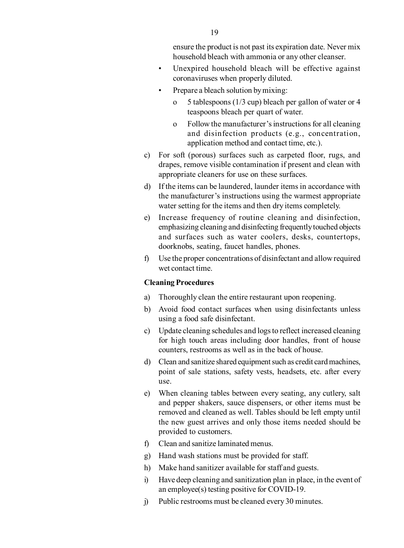ensure the product is not past its expiration date. Never mix household bleach with ammonia or any other cleanser.

- Unexpired household bleach will be effective against coronaviruses when properly diluted.
- Prepare a bleach solution by mixing:
	- o 5 tablespoons (1/3 cup) bleach per gallon of water or 4 teaspoons bleach per quart of water.
	- o Follow the manufacturer's instructions for all cleaning and disinfection products (e.g., concentration, application method and contact time, etc.).
- c) For soft (porous) surfaces such as carpeted floor, rugs, and drapes, remove visible contamination if present and clean with appropriate cleaners for use on these surfaces.
- d) If the items can be laundered, launder items in accordance with the manufacturer's instructions using the warmest appropriate water setting for the items and then dry items completely.
- e) Increase frequency of routine cleaning and disinfection, emphasizing cleaning and disinfecting frequently touched objects and surfaces such as water coolers, desks, countertops, doorknobs, seating, faucet handles, phones.
- f) Use the proper concentrations of disinfectant and allow required wet contact time.

#### **Cleaning Procedures**

- a) Thoroughly clean the entire restaurant upon reopening.
- b) Avoid food contact surfaces when using disinfectants unless using a food safe disinfectant.
- c) Update cleaning schedules and logs to reflect increased cleaning for high touch areas including door handles, front of house counters, restrooms as well as in the back of house.
- d) Clean and sanitize shared equipment such as credit card machines, point of sale stations, safety vests, headsets, etc. after every use.
- e) When cleaning tables between every seating, any cutlery, salt and pepper shakers, sauce dispensers, or other items must be removed and cleaned as well. Tables should be left empty until the new guest arrives and only those items needed should be provided to customers.
- f) Clean and sanitize laminated menus.
- g) Hand wash stations must be provided for staff.
- h) Make hand sanitizer available for staff and guests.
- i) Have deep cleaning and sanitization plan in place, in the event of an employee(s) testing positive for COVID-19.
- j) Public restrooms must be cleaned every 30 minutes.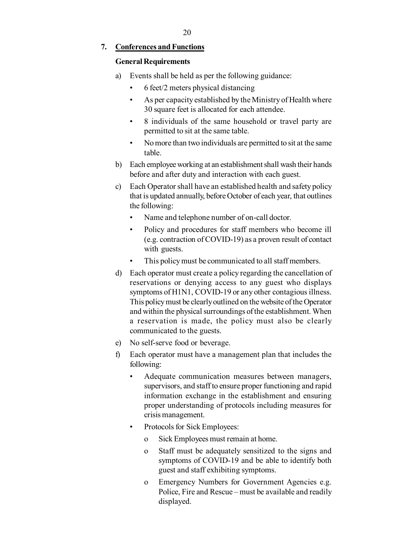### **7. Conferences and Functions**

#### **General Requirements**

- a) Events shall be held as per the following guidance:
	- 6 feet/2 meters physical distancing
	- As per capacity established by the Ministry of Health where 30 square feet is allocated for each attendee.
	- 8 individuals of the same household or travel party are permitted to sit at the same table.
	- No more than two individuals are permitted to sit at the same table.
- b) Each employee working at an establishment shall wash their hands before and after duty and interaction with each guest.
- c) Each Operator shall have an established health and safety policy that is updated annually, before October of each year, that outlines the following:
	- Name and telephone number of on-call doctor.
	- Policy and procedures for staff members who become ill (e.g. contraction of COVID-19) as a proven result of contact with guests.
	- This policy must be communicated to all staff members.
- d) Each operator must create a policy regarding the cancellation of reservations or denying access to any guest who displays symptoms of H1N1, COVID-19 or any other contagious illness. This policy must be clearly outlined on the website of the Operator and within the physical surroundings of the establishment. When a reservation is made, the policy must also be clearly communicated to the guests.
- e) No self-serve food or beverage.
- f) Each operator must have a management plan that includes the following:
	- Adequate communication measures between managers, supervisors, and staff to ensure proper functioning and rapid information exchange in the establishment and ensuring proper understanding of protocols including measures for crisis management.
	- Protocols for Sick Employees:
		- o Sick Employees must remain at home.
		- o Staff must be adequately sensitized to the signs and symptoms of COVID-19 and be able to identify both guest and staff exhibiting symptoms.
		- o Emergency Numbers for Government Agencies e.g. Police, Fire and Rescue – must be available and readily displayed.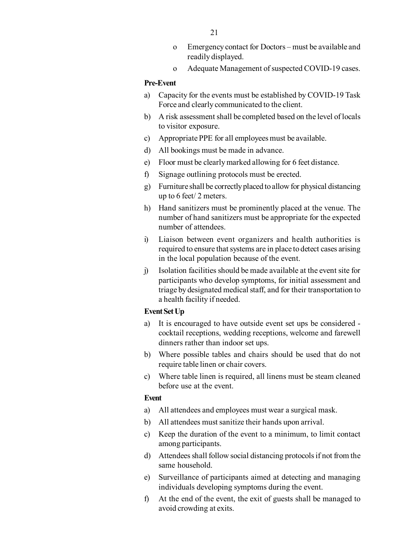- o Emergency contact for Doctors must be available and readily displayed.
- o Adequate Management of suspected COVID-19 cases.

#### **Pre-Event**

- a) Capacity for the events must be established by COVID-19 Task Force and clearly communicated to the client.
- b) A risk assessment shall be completed based on the level of locals to visitor exposure.
- c) Appropriate PPE for all employees must be available.
- d) All bookings must be made in advance.
- e) Floor must be clearly marked allowing for 6 feet distance.
- f) Signage outlining protocols must be erected.
- g) Furniture shall be correctly placed to allow for physical distancing up to 6 feet/ 2 meters.
- h) Hand sanitizers must be prominently placed at the venue. The number of hand sanitizers must be appropriate for the expected number of attendees.
- i) Liaison between event organizers and health authorities is required to ensure that systems are in place to detect cases arising in the local population because of the event.
- j) Isolation facilities should be made available at the event site for participants who develop symptoms, for initial assessment and triage by designated medical staff, and for their transportation to a health facility if needed.

#### **Event Set Up**

- a) It is encouraged to have outside event set ups be considered cocktail receptions, wedding receptions, welcome and farewell dinners rather than indoor set ups.
- b) Where possible tables and chairs should be used that do not require table linen or chair covers.
- c) Where table linen is required, all linens must be steam cleaned before use at the event.

#### **Event**

- a) All attendees and employees must wear a surgical mask.
- b) All attendees must sanitize their hands upon arrival.
- c) Keep the duration of the event to a minimum, to limit contact among participants.
- d) Attendees shall follow social distancing protocols if not from the same household.
- e) Surveillance of participants aimed at detecting and managing individuals developing symptoms during the event.
- f) At the end of the event, the exit of guests shall be managed to avoid crowding at exits.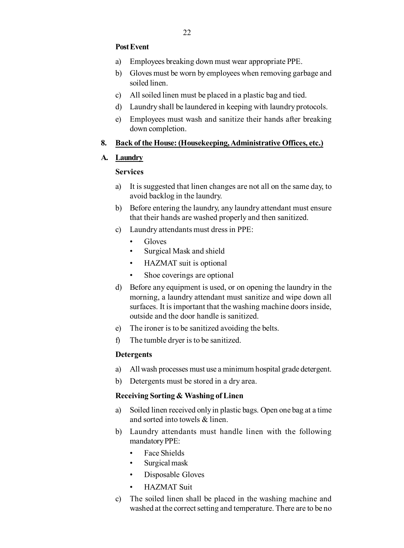### **Post Event**

- a) Employees breaking down must wear appropriate PPE.
- b) Gloves must be worn by employees when removing garbage and soiled linen.
- c) All soiled linen must be placed in a plastic bag and tied.
- d) Laundry shall be laundered in keeping with laundry protocols.
- e) Employees must wash and sanitize their hands after breaking down completion.

### **8. Back of the House: (Housekeeping, Administrative Offices, etc.)**

### **A. Laundry**

### **Services**

- a) It is suggested that linen changes are not all on the same day, to avoid backlog in the laundry.
- b) Before entering the laundry, any laundry attendant must ensure that their hands are washed properly and then sanitized.
- c) Laundry attendants must dress in PPE:
	- Gloves
	- Surgical Mask and shield
	- HAZMAT suit is optional
	- Shoe coverings are optional
- d) Before any equipment is used, or on opening the laundry in the morning, a laundry attendant must sanitize and wipe down all surfaces. It is important that the washing machine doors inside, outside and the door handle is sanitized.
- e) The ironer is to be sanitized avoiding the belts.
- f) The tumble dryer is to be sanitized.

### **Detergents**

- a) All wash processes must use a minimum hospital grade detergent.
- b) Detergents must be stored in a dry area.

### **Receiving Sorting & Washing of Linen**

- a) Soiled linen received only in plastic bags. Open one bag at a time and sorted into towels & linen.
- b) Laundry attendants must handle linen with the following mandatory PPE:
	- Face Shields
	- Surgical mask
	- Disposable Gloves
	- HAZMAT Suit
- c) The soiled linen shall be placed in the washing machine and washed at the correct setting and temperature. There are to be no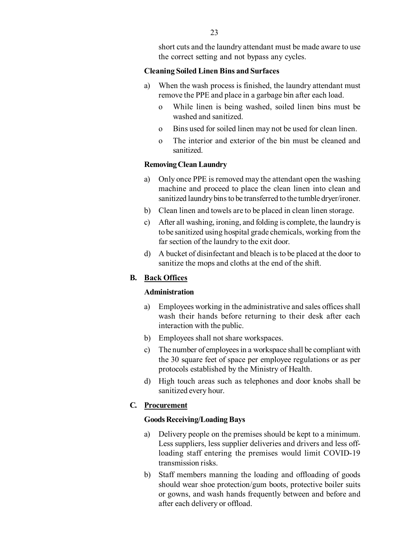short cuts and the laundry attendant must be made aware to use the correct setting and not bypass any cycles.

#### **Cleaning Soiled Linen Bins and Surfaces**

- a) When the wash process is finished, the laundry attendant must remove the PPE and place in a garbage bin after each load.
	- o While linen is being washed, soiled linen bins must be washed and sanitized.
	- o Bins used for soiled linen may not be used for clean linen.
	- o The interior and exterior of the bin must be cleaned and sanitized.

#### **Removing Clean Laundry**

- a) Only once PPE is removed may the attendant open the washing machine and proceed to place the clean linen into clean and sanitized laundry bins to be transferred to the tumble dryer/ironer.
- b) Clean linen and towels are to be placed in clean linen storage.
- c) After all washing, ironing, and folding is complete, the laundry is to be sanitized using hospital grade chemicals, working from the far section of the laundry to the exit door.
- d) A bucket of disinfectant and bleach is to be placed at the door to sanitize the mops and cloths at the end of the shift.

### **B. Back Offices**

### **Administration**

- a) Employees working in the administrative and sales offices shall wash their hands before returning to their desk after each interaction with the public.
- b) Employees shall not share workspaces.
- c) The number of employees in a workspace shall be compliant with the 30 square feet of space per employee regulations or as per protocols established by the Ministry of Health.
- d) High touch areas such as telephones and door knobs shall be sanitized every hour.

#### **C. Procurement**

#### **Goods Receiving/Loading Bays**

- a) Delivery people on the premises should be kept to a minimum. Less suppliers, less supplier deliveries and drivers and less offloading staff entering the premises would limit COVID-19 transmission risks.
- b) Staff members manning the loading and offloading of goods should wear shoe protection/gum boots, protective boiler suits or gowns, and wash hands frequently between and before and after each delivery or offload.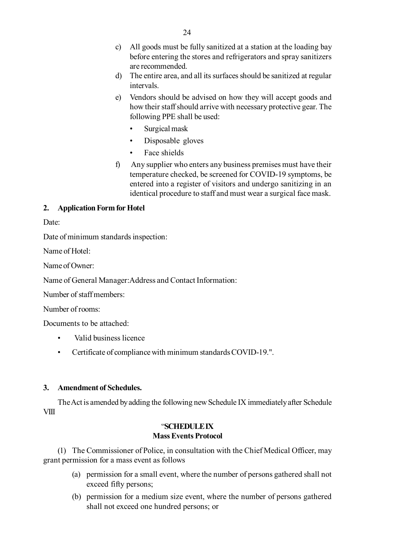- d) The entire area, and all its surfaces should be sanitized at regular intervals.
- e) Vendors should be advised on how they will accept goods and how their staff should arrive with necessary protective gear. The following PPE shall be used:
	- Surgical mask
	- Disposable gloves
	- Face shields
- f) Any supplier who enters any business premises must have their temperature checked, be screened for COVID-19 symptoms, be entered into a register of visitors and undergo sanitizing in an identical procedure to staff and must wear a surgical face mask.

### **2. Application Form for Hotel**

Date:

Date of minimum standards inspection:

Name of Hotel:

Name of Owner:

Name of General Manager:Address and Contact Information:

Number of staff members:

Number of rooms:

Documents to be attached:

- Valid business licence
- Certificate of compliance with minimum standards COVID-19.".

### **3. Amendment of Schedules.**

The Act is amended by adding the following new Schedule IX immediately after Schedule VIII

### "**SCHEDULE IX Mass Events Protocol**

(1) The Commissioner of Police, in consultation with the Chief Medical Officer, may grant permission for a mass event as follows

- (a) permission for a small event, where the number of persons gathered shall not exceed fifty persons;
- (b) permission for a medium size event, where the number of persons gathered shall not exceed one hundred persons; or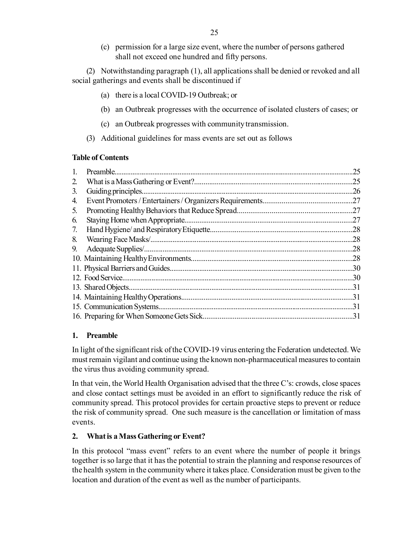(c) permission for a large size event, where the number of persons gathered shall not exceed one hundred and fifty persons.

(2) Notwithstanding paragraph (1), all applications shall be denied or revoked and all social gatherings and events shall be discontinued if

- (a) there is a local COVID-19 Outbreak; or
- (b) an Outbreak progresses with the occurrence of isolated clusters of cases; or
- (c) an Outbreak progresses with community transmission.
- (3) Additional guidelines for mass events are set out as follows

#### **Table of Contents**

| 1. | 25  |
|----|-----|
| 2. |     |
| 3. | .26 |
| 4. |     |
| 5. |     |
| 6. |     |
| 7. |     |
| 8. |     |
| 9. | .28 |
|    |     |
|    |     |
|    |     |
|    |     |
|    |     |
|    |     |
|    |     |

### **1. Preamble**

In light of the significant risk of the COVID-19 virus entering the Federation undetected. We must remain vigilant and continue using the known non-pharmaceutical measures to contain the virus thus avoiding community spread.

In that vein, the World Health Organisation advised that the three C's: crowds, close spaces and close contact settings must be avoided in an effort to significantly reduce the risk of community spread. This protocol provides for certain proactive steps to prevent or reduce the risk of community spread. One such measure is the cancellation or limitation of mass events.

### **2. What is a Mass Gathering or Event?**

In this protocol "mass event" refers to an event where the number of people it brings together is so large that it has the potential to strain the planning and response resources of the health system in the community where it takes place. Consideration must be given to the location and duration of the event as well as the number of participants.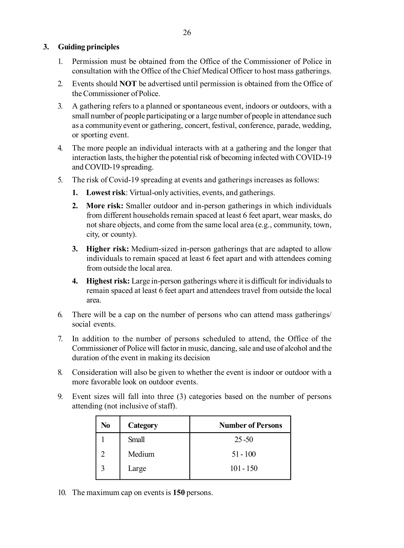- 1. Permission must be obtained from the Office of the Commissioner of Police in consultation with the Office of the Chief Medical Officer to host mass gatherings.
- 2. Events should **NOT** be advertised until permission is obtained from the Office of the Commissioner of Police.
- 3. A gathering refers to a planned or spontaneous event, indoors or outdoors, with a small number of people participating or a large number of people in attendance such as a community event or gathering, concert, festival, conference, parade, wedding, or sporting event.
- 4. The more people an individual interacts with at a gathering and the longer that interaction lasts, the higher the potential risk of becoming infected with COVID-19 and COVID-19 spreading.
- 5. The risk of Covid-19 spreading at events and gatherings increases as follows:
	- **1. Lowest risk**: Virtual-only activities, events, and gatherings.
	- **2. More risk:** Smaller outdoor and in-person gatherings in which individuals from different households remain spaced at least 6 feet apart, wear masks, do not share objects, and come from the same local area (e.g., community, town, city, or county).
	- **3. Higher risk:** Medium-sized in-person gatherings that are adapted to allow individuals to remain spaced at least 6 feet apart and with attendees coming from outside the local area.
	- **4. Highest risk:** Large in-person gatherings where it is difficult for individuals to remain spaced at least 6 feet apart and attendees travel from outside the local area.
- 6. There will be a cap on the number of persons who can attend mass gatherings/ social events.
- 7. In addition to the number of persons scheduled to attend, the Office of the Commissioner of Police will factor in music, dancing, sale and use of alcohol and the duration of the event in making its decision
- 8. Consideration will also be given to whether the event is indoor or outdoor with a more favorable look on outdoor events.
- 9. Event sizes will fall into three (3) categories based on the number of persons attending (not inclusive of staff).

| No | Category | <b>Number of Persons</b> |
|----|----------|--------------------------|
|    | Small    | $25 - 50$                |
|    | Medium   | $51 - 100$               |
|    | Large    | $101 - 150$              |

10. The maximum cap on events is **150** persons.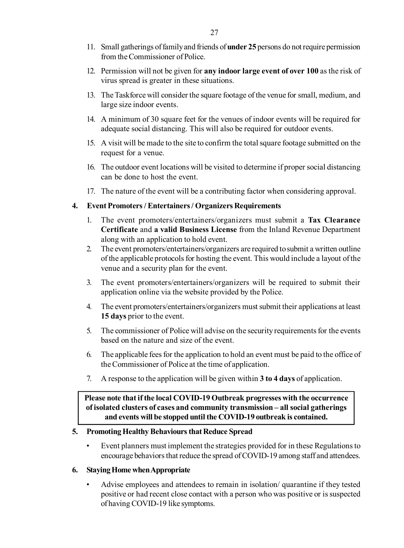- 11. Small gatherings of family and friends of **under 25** persons do not require permission from the Commissioner of Police.
- 12. Permission will not be given for **any indoor large event of over 100** as the risk of virus spread is greater in these situations.
- 13. The Taskforce will consider the square footage of the venue for small, medium, and large size indoor events.
- 14. A minimum of 30 square feet for the venues of indoor events will be required for adequate social distancing. This will also be required for outdoor events.
- 15. A visit will be made to the site to confirm the total square footage submitted on the request for a venue.
- 16. The outdoor event locations will be visited to determine if proper social distancing can be done to host the event.
- 17. The nature of the event will be a contributing factor when considering approval.

### **4. Event Promoters / Entertainers / Organizers Requirements**

- 1. The event promoters/entertainers/organizers must submit a **Tax Clearance Certificate** and **a valid Business License** from the Inland Revenue Department along with an application to hold event.
- 2. The event promoters/entertainers/organizers are required to submit a written outline of the applicable protocols for hosting the event. This would include a layout of the venue and a security plan for the event.
- 3. The event promoters/entertainers/organizers will be required to submit their application online via the website provided by the Police.
- 4. The event promoters/entertainers/organizers must submit their applications at least **15 days** prior to the event.
- 5. The commissioner of Police will advise on the security requirements for the events based on the nature and size of the event.
- 6. The applicable fees for the application to hold an event must be paid to the office of the Commissioner of Police at the time of application.
- 7. A response to the application will be given within **3 to 4 days** of application.

### **Please note that if the local COVID-19 Outbreak progresses with the occurrence of isolated clusters of cases and community transmission – all social gatherings and events will be stopped until the COVID-19 outbreak is contained.**

### **5. Promoting Healthy Behaviours that Reduce Spread**

• Event planners must implement the strategies provided for in these Regulations to encourage behaviors that reduce the spread of COVID-19 among staff and attendees.

#### **6. Staying Home when Appropriate**

• Advise employees and attendees to remain in isolation/ quarantine if they tested positive or had recent close contact with a person who was positive or is suspected of having COVID-19 like symptoms.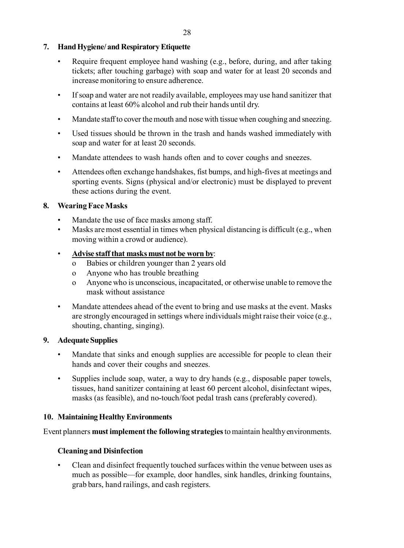# **7. Hand Hygiene/ and Respiratory Etiquette**

- Require frequent employee hand washing (e.g., before, during, and after taking tickets; after touching garbage) with soap and water for at least 20 seconds and increase monitoring to ensure adherence.
- If soap and water are not readily available, employees may use hand sanitizer that contains at least 60% alcohol and rub their hands until dry.
- Mandate staff to cover the mouth and nose with tissue when coughing and sneezing.
- Used tissues should be thrown in the trash and hands washed immediately with soap and water for at least 20 seconds.
- Mandate attendees to wash hands often and to cover coughs and sneezes.
- Attendees often exchange handshakes, fist bumps, and high-fives at meetings and sporting events. Signs (physical and/or electronic) must be displayed to prevent these actions during the event.

# **8. Wearing Face Masks**

- Mandate the use of face masks among staff.
- Masks are most essential in times when physical distancing is difficult (e.g., when moving within a crowd or audience).

## • **Advise staff that masks must not be worn by**:

- o Babies or children younger than 2 years old
- o Anyone who has trouble breathing
- o Anyone who is unconscious, incapacitated, or otherwise unable to remove the mask without assistance
- Mandate attendees ahead of the event to bring and use masks at the event. Masks are strongly encouraged in settings where individuals might raise their voice (e.g., shouting, chanting, singing).

## **9. Adequate Supplies**

- Mandate that sinks and enough supplies are accessible for people to clean their hands and cover their coughs and sneezes.
- Supplies include soap, water, a way to dry hands (e.g., disposable paper towels, tissues, hand sanitizer containing at least 60 percent alcohol, disinfectant wipes, masks (as feasible), and no-touch/foot pedal trash cans (preferably covered).

# **10. Maintaining Healthy Environments**

Event planners **must implement the following strategies** to maintain healthy environments.

# **Cleaning and Disinfection**

• Clean and disinfect frequently touched surfaces within the venue between uses as much as possible—for example, door handles, sink handles, drinking fountains, grab bars, hand railings, and cash registers.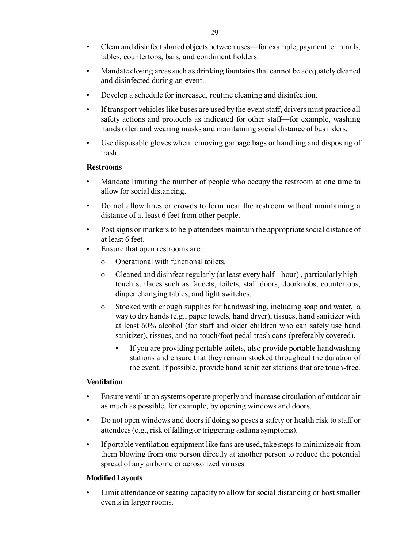- Clean and disinfect shared objects between uses—for example, payment terminals, tables, countertops, bars, and condiment holders.
- Mandate closing areas such as drinking fountains that cannot be adequately cleaned and disinfected during an event.
- Develop a schedule for increased, routine cleaning and disinfection.
- If transport vehicles like buses are used by the event staff, drivers must practice all safety actions and protocols as indicated for other staff—for example, washing hands often and wearing masks and maintaining social distance of bus riders.
- Use disposable gloves when removing garbage bags or handling and disposing of trash.

### **Restrooms**

- Mandate limiting the number of people who occupy the restroom at one time to allow for social distancing.
- Do not allow lines or crowds to form near the restroom without maintaining a distance of at least 6 feet from other people.
- Post signs or markers to help attendees maintain the appropriate social distance of at least 6 feet.
- Ensure that open restrooms are:
	- o Operational with functional toilets.
	- o Cleaned and disinfect regularly (at least every half hour) , particularly hightouch surfaces such as faucets, toilets, stall doors, doorknobs, countertops, diaper changing tables, and light switches.
	- o Stocked with enough supplies for handwashing, including soap and water, a way to dry hands (e.g., paper towels, hand dryer), tissues, hand sanitizer with at least 60% alcohol (for staff and older children who can safely use hand sanitizer), tissues, and no-touch/foot pedal trash cans (preferably covered).
		- If you are providing portable toilets, also provide portable handwashing stations and ensure that they remain stocked throughout the duration of the event. If possible, provide hand sanitizer stations that are touch-free.

### **Ventilation**

- Ensure ventilation systems operate properly and increase circulation of outdoor air as much as possible, for example, by opening windows and doors.
- Do not open windows and doors if doing so poses a safety or health risk to staff or attendees (e.g., risk of falling or triggering asthma symptoms).
- If portable ventilation equipment like fans are used, take steps to minimize air from them blowing from one person directly at another person to reduce the potential spread of any airborne or aerosolized viruses.

### **Modified Layouts**

• Limit attendance or seating capacity to allow for social distancing or host smaller events in larger rooms.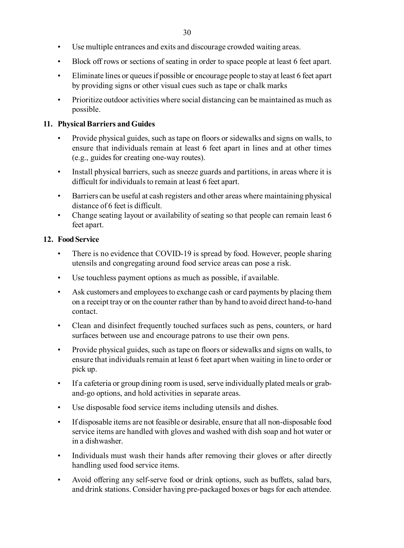- Use multiple entrances and exits and discourage crowded waiting areas.
- Block off rows or sections of seating in order to space people at least 6 feet apart.
- Eliminate lines or queues if possible or encourage people to stay at least 6 feet apart by providing signs or other visual cues such as tape or chalk marks
- Prioritize outdoor activities where social distancing can be maintained as much as possible.

### **11. Physical Barriers and Guides**

- Provide physical guides, such as tape on floors or sidewalks and signs on walls, to ensure that individuals remain at least 6 feet apart in lines and at other times (e.g., guides for creating one-way routes).
- Install physical barriers, such as sneeze guards and partitions, in areas where it is difficult for individuals to remain at least 6 feet apart.
- Barriers can be useful at cash registers and other areas where maintaining physical distance of 6 feet is difficult.
- Change seating layout or availability of seating so that people can remain least 6 feet apart.

### **12. Food Service**

- There is no evidence that COVID-19 is spread by food. However, people sharing utensils and congregating around food service areas can pose a risk.
- Use touchless payment options as much as possible, if available.
- Ask customers and employees to exchange cash or card payments by placing them on a receipt tray or on the counter rather than by hand to avoid direct hand-to-hand contact.
- Clean and disinfect frequently touched surfaces such as pens, counters, or hard surfaces between use and encourage patrons to use their own pens.
- Provide physical guides, such as tape on floors or sidewalks and signs on walls, to ensure that individuals remain at least 6 feet apart when waiting in line to order or pick up.
- If a cafeteria or group dining room is used, serve individually plated meals or graband-go options, and hold activities in separate areas.
- Use disposable food service items including utensils and dishes.
- If disposable items are not feasible or desirable, ensure that all non-disposable food service items are handled with gloves and washed with dish soap and hot water or in a dishwasher.
- Individuals must wash their hands after removing their gloves or after directly handling used food service items.
- Avoid offering any self-serve food or drink options, such as buffets, salad bars, and drink stations. Consider having pre-packaged boxes or bags for each attendee.